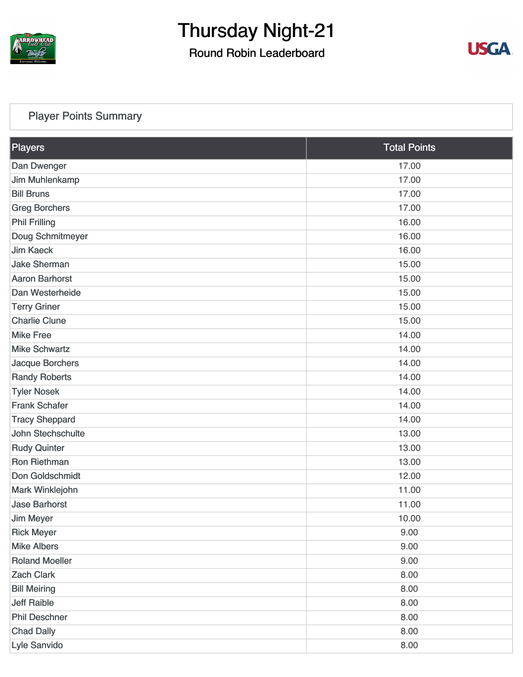

### Round Robin Leaderboard



### [Player Points Summary](https://cdn2.golfgenius.com/v2tournaments/total_points?league_id=7166888105578865856&round_id=7166893105793213459)

| <b>Players</b>        | <b>Total Points</b> |
|-----------------------|---------------------|
| Dan Dwenger           | 17.00               |
| Jim Muhlenkamp        | 17.00               |
| <b>Bill Bruns</b>     | 17.00               |
| <b>Greg Borchers</b>  | 17.00               |
| <b>Phil Frilling</b>  | 16.00               |
| Doug Schmitmeyer      | 16.00               |
| <b>Jim Kaeck</b>      | 16.00               |
| <b>Jake Sherman</b>   | 15.00               |
| <b>Aaron Barhorst</b> | 15.00               |
| Dan Westerheide       | 15.00               |
| <b>Terry Griner</b>   | 15.00               |
| <b>Charlie Clune</b>  | 15.00               |
| <b>Mike Free</b>      | 14.00               |
| <b>Mike Schwartz</b>  | 14.00               |
| Jacque Borchers       | 14.00               |
| <b>Randy Roberts</b>  | 14.00               |
| <b>Tyler Nosek</b>    | 14.00               |
| <b>Frank Schafer</b>  | 14.00               |
| <b>Tracy Sheppard</b> | 14.00               |
| John Stechschulte     | 13.00               |
| <b>Rudy Quinter</b>   | 13.00               |
| Ron Riethman          | 13.00               |
| Don Goldschmidt       | 12.00               |
| Mark Winklejohn       | 11.00               |
| <b>Jase Barhorst</b>  | 11.00               |
| <b>Jim Meyer</b>      | 10.00               |
| <b>Rick Meyer</b>     | 9.00                |
| <b>Mike Albers</b>    | 9.00                |
| <b>Roland Moeller</b> | 9.00                |
| <b>Zach Clark</b>     | 8.00                |
| <b>Bill Meiring</b>   | 8.00                |
| <b>Jeff Raible</b>    | 8.00                |
| <b>Phil Deschner</b>  | 8.00                |
| <b>Chad Dally</b>     | 8.00                |
| Lyle Sanvido          | 8.00                |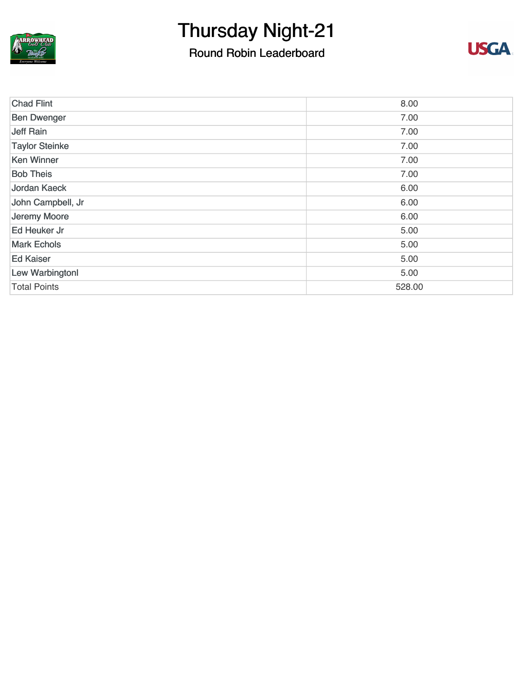

### Round Robin Leaderboard



| <b>Chad Flint</b>     | 8.00   |
|-----------------------|--------|
| <b>Ben Dwenger</b>    | 7.00   |
| Jeff Rain             | 7.00   |
| <b>Taylor Steinke</b> | 7.00   |
| <b>Ken Winner</b>     | 7.00   |
| <b>Bob Theis</b>      | 7.00   |
| Jordan Kaeck          | 6.00   |
| John Campbell, Jr     | 6.00   |
| Jeremy Moore          | 6.00   |
| Ed Heuker Jr          | 5.00   |
| <b>Mark Echols</b>    | 5.00   |
| <b>Ed Kaiser</b>      | 5.00   |
| Lew Warbingtonl       | 5.00   |
| <b>Total Points</b>   | 528.00 |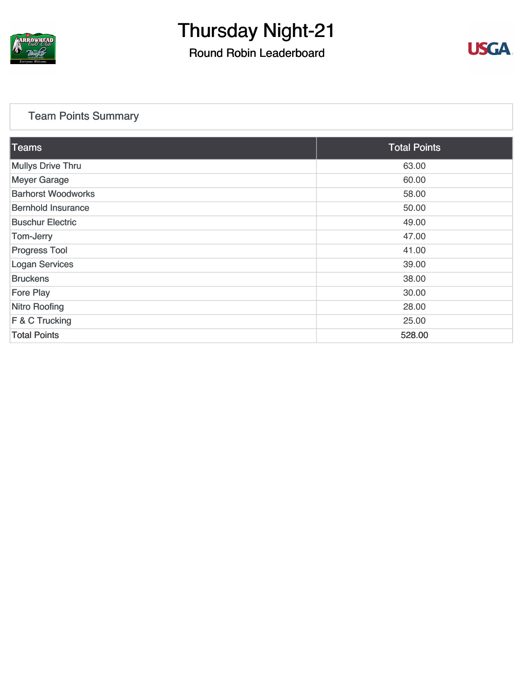

Round Robin Leaderboard



### [Team Points Summary](https://cdn2.golfgenius.com/v2tournaments/team_points?league_id=7166888105578865856&round_id=7166893105793213459)

| Teams                     | <b>Total Points</b> |
|---------------------------|---------------------|
| <b>Mullys Drive Thru</b>  | 63.00               |
| <b>Meyer Garage</b>       | 60.00               |
| <b>Barhorst Woodworks</b> | 58.00               |
| <b>Bernhold Insurance</b> | 50.00               |
| <b>Buschur Electric</b>   | 49.00               |
| Tom-Jerry                 | 47.00               |
| <b>Progress Tool</b>      | 41.00               |
| <b>Logan Services</b>     | 39.00               |
| <b>Bruckens</b>           | 38.00               |
| <b>Fore Play</b>          | 30.00               |
| <b>Nitro Roofing</b>      | 28.00               |
| F & C Trucking            | 25.00               |
| <b>Total Points</b>       | 528.00              |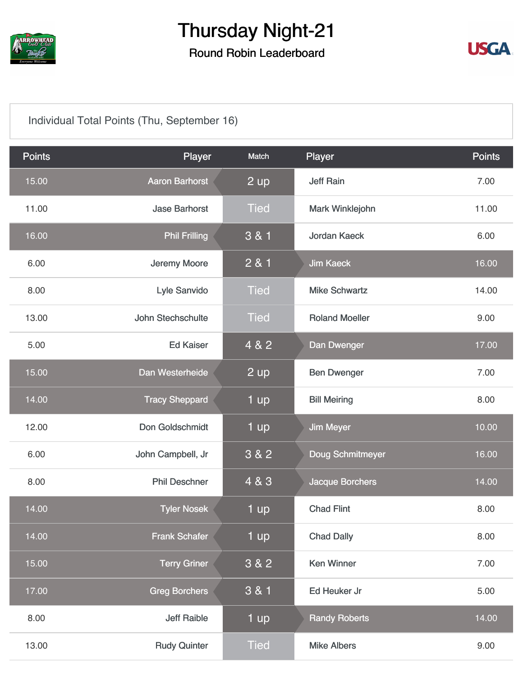

### Round Robin Leaderboard



### [Individual Total Points \(Thu, September 16\)](https://cdn2.golfgenius.com/v2tournaments/7166950886558672277?called_from=&round_index=23)

| <b>Points</b> | Player                | Match       | Player                 | <b>Points</b> |
|---------------|-----------------------|-------------|------------------------|---------------|
| 15.00         | <b>Aaron Barhorst</b> | 2 up        | <b>Jeff Rain</b>       | 7.00          |
| 11.00         | <b>Jase Barhorst</b>  | <b>Tied</b> | Mark Winklejohn        | 11.00         |
| 16.00         | <b>Phil Frilling</b>  | 3 & 1       | <b>Jordan Kaeck</b>    | 6.00          |
| 6.00          | Jeremy Moore          | 2 & 1       | <b>Jim Kaeck</b>       | 16.00         |
| 8.00          | Lyle Sanvido          | <b>Tied</b> | <b>Mike Schwartz</b>   | 14.00         |
| 13.00         | John Stechschulte     | <b>Tied</b> | <b>Roland Moeller</b>  | 9.00          |
| 5.00          | <b>Ed Kaiser</b>      | 4 & 2       | Dan Dwenger            | 17.00         |
| 15.00         | Dan Westerheide       | 2 up        | <b>Ben Dwenger</b>     | 7.00          |
| 14.00         | <b>Tracy Sheppard</b> | 1 up        | <b>Bill Meiring</b>    | 8.00          |
| 12.00         | Don Goldschmidt       | 1 up        | <b>Jim Meyer</b>       | 10.00         |
| 6.00          | John Campbell, Jr     | 3 & 2       | Doug Schmitmeyer       | 16.00         |
| 8.00          | <b>Phil Deschner</b>  | 4 & 3       | <b>Jacque Borchers</b> | 14.00         |
| 14.00         | <b>Tyler Nosek</b>    | 1 up        | <b>Chad Flint</b>      | 8.00          |
| 14.00         | <b>Frank Schafer</b>  | 1 up        | <b>Chad Dally</b>      | 8.00          |
| 15.00         | <b>Terry Griner</b>   | 3 & 2       | <b>Ken Winner</b>      | 7.00          |
| 17.00         | <b>Greg Borchers</b>  | $3 & 1$     | Ed Heuker Jr           | 5.00          |
| 8.00          | <b>Jeff Raible</b>    | 1 up        | <b>Randy Roberts</b>   | 14.00         |
| 13.00         | <b>Rudy Quinter</b>   | <b>Tied</b> | <b>Mike Albers</b>     | 9.00          |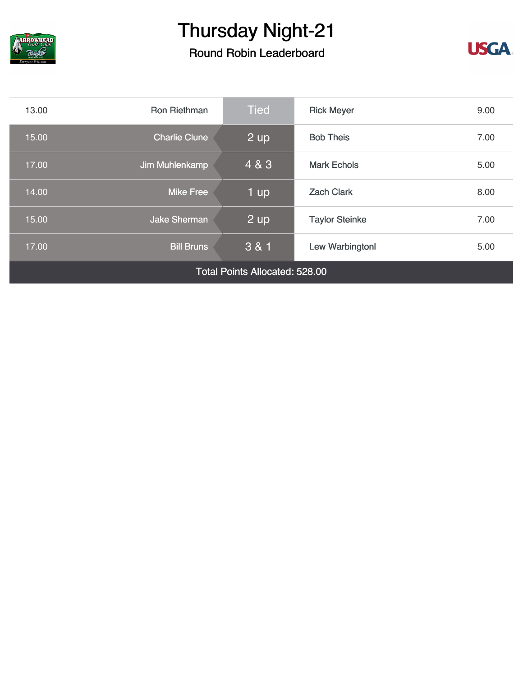

### Round Robin Leaderboard



| 13.00                                 | <b>Ron Riethman</b>  | <b>Tied</b> | <b>Rick Meyer</b>     | 9.00 |
|---------------------------------------|----------------------|-------------|-----------------------|------|
| 15.00                                 | <b>Charlie Clune</b> | 2 up        | <b>Bob Theis</b>      | 7.00 |
| 17.00                                 | Jim Muhlenkamp       | 4 & 3       | <b>Mark Echols</b>    | 5.00 |
| 14.00                                 | <b>Mike Free</b>     | 1 up        | <b>Zach Clark</b>     | 8.00 |
| 15.00                                 | <b>Jake Sherman</b>  | 2 up        | <b>Taylor Steinke</b> | 7.00 |
| 17.00                                 | <b>Bill Bruns</b>    | 3 & 1       | Lew Warbingtonl       | 5.00 |
| <b>Total Points Allocated: 528.00</b> |                      |             |                       |      |